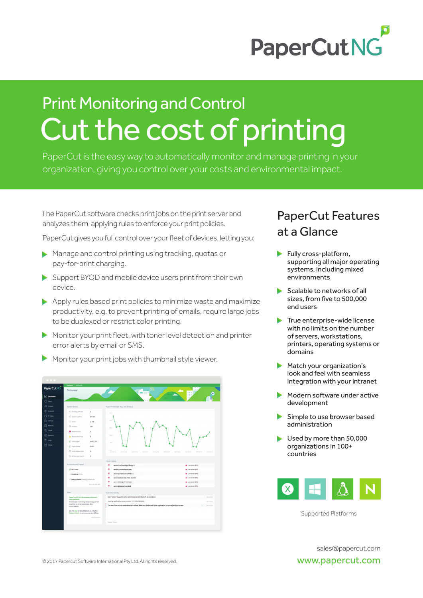

# Cut the cost of printing Print Monitoring and Control

PaperCut is the easy way to automatically monitor and manage printing in your organization, giving you control over your costs and environmental impact.

The PaperCut software checks print jobs on the print server and analyzes them, applying rules to enforce your print policies.

PaperCut gives you full control over your fleet of devices, letting you:

- Manage and control printing using tracking, quotas or pay-for-print charging.
- Support BYOD and mobile device users print from their own device.
- Apply rules based print policies to minimize waste and maximize productivity, e.g, to prevent printing of emails, require large jobs to be duplexed or restrict color printing.
- $\blacktriangleright$  Monitor your print fleet, with toner level detection and printer error alerts by email or SMS.
- Monitor your print jobs with thumbnail style viewer.

| PaperCutNG            | Dashboard Dashboard<br>Dashboard                                                             |                    | <b>Service</b>                                                                                                 | ٠                                      |
|-----------------------|----------------------------------------------------------------------------------------------|--------------------|----------------------------------------------------------------------------------------------------------------|----------------------------------------|
| $\sim$ Dashboard      |                                                                                              |                    |                                                                                                                |                                        |
| $\bigcirc$ Users      |                                                                                              |                    |                                                                                                                |                                        |
| 28. Groups            | <b>System Status</b>                                                                         |                    | Pages Printed (per day, last 30 days)                                                                          |                                        |
| (9) Accounts          | <sup>O</sup> Pending refunds                                                                 | $\overline{a}$     | 6653                                                                                                           |                                        |
| <b>同 Printers</b>     | System uptime                                                                                | 2m 26s             |                                                                                                                |                                        |
| <b>De Devices</b>     | O Users                                                                                      | 1,726              | STER                                                                                                           |                                        |
| <sup>19</sup> Reports | C Printers                                                                                   | 167                | 2031                                                                                                           |                                        |
| $72$ Cards            | <b>O</b> Recent emoral                                                                       | $\overline{1}$     |                                                                                                                |                                        |
| <b>Options</b>        | A Recent warnings                                                                            | $\overline{a}$     | 2226                                                                                                           |                                        |
| $\equiv$ tops         | <b>C</b> Total pages                                                                         | 2,471,157          | 820                                                                                                            |                                        |
| <b>円 About</b>        | <b>C</b> Pages today                                                                         | 2.811              |                                                                                                                |                                        |
|                       | Hold/release jobs                                                                            | ٠                  | $-0.01$<br>2017-02-11<br>301741-23<br>2017-01-06<br>2017-01-20<br>3574345<br>3017-03-04<br>2017-02-03          | 3017-02-14<br>2017-03-17<br>3017-02-21 |
|                       | C Active user clients                                                                        | $\circ$            |                                                                                                                |                                        |
|                       |                                                                                              |                    | Printer Status                                                                                                 |                                        |
|                       | Environmental Impact                                                                         |                    | ø<br>server1\Archaeology Library 1                                                                             | Cow toner (0%)                         |
|                       | $C1$ 30.5 trees                                                                              |                    | ۵<br>server1\Architecture Lab 1                                                                                | Uow toner (0%)                         |
|                       | 15 21,009 kg of CO <sub>2</sub><br>6 694,800 hours running a 60W bulb                        |                    | ø<br>Cow toner (0%)<br>server1\Architecture Office 5                                                           |                                        |
|                       |                                                                                              |                    | ۰<br>server1\Chemistry Print Room 1                                                                            | · Low toner (0%)                       |
|                       |                                                                                              | Since Jun 18, 2009 | ۰<br>occert/@colgo Print Room &<br>œ<br>server1\Economics Lab 3                                                | · Low toner (0%)<br>· Low toner (0%)   |
|                       |                                                                                              |                    |                                                                                                                |                                        |
|                       | <b>News</b>                                                                                  |                    | Real-time Activity                                                                                             |                                        |
|                       | PaperCut NG 16.4 (Maintenance Release)<br><b>Now Available!</b>                              |                    | User "admin" logged into the administration interface.[IP: 10.100.66.54]                                       | 149:30 PM                              |
|                       | Prevent jobs from being released to a printer<br>reporting an error, report start date       |                    | Starting application server version: 17.0.2 (Build 39459)                                                      | <b>THEFTER ONE</b>                     |
|                       | customization.                                                                               |                    | The Web Print server screenshoting is offline. Make sure the poweb-print application is running and can access | 1:47:14 PM                             |
|                       | See the blog for latest features and the full<br>Release History for enhancements and fixes. |                    |                                                                                                                |                                        |
|                       |                                                                                              |                    |                                                                                                                |                                        |
|                       |                                                                                              | 20th December      |                                                                                                                |                                        |

## PaperCut Features at a Glance

- Fully cross-platform, supporting all major operating systems, including mixed environments
- Scalable to networks of all sizes, from five to 500,000 end users
- $\blacktriangleright$  True enterprise-wide license with no limits on the number of servers, workstations, printers, operating systems or domains
- Match your organization's look and feel with seamless integration with your intranet
- **Modern software under active** development
- Simple to use browser based administration
- Used by more than 50,000 organizations in 100+ countries



Supported Platforms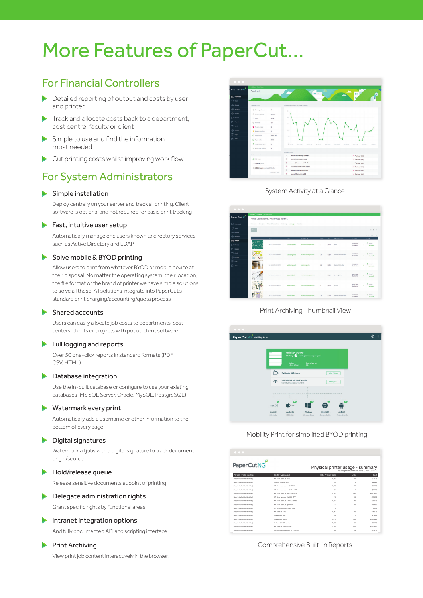## More Features of PaperCut…

## For Financial Controllers

- Detailed reporting of output and costs by user and printer
- Track and allocate costs back to a department, cost centre, faculty or client
- $\blacktriangleright$  Simple to use and find the information most needed
- Cut printing costs whilst improving work flow

## For System Administrators

## Simple installation

Deploy centrally on your server and track all printing. Client software is optional and not required for basic print tracking

#### Fast, intuitive user setup

Automatically manage end users known to directory services such as Active Directory and LDAP

#### Solve mobile & BYOD printing

 Allow users to print from whatever BYOD or mobile device at their disposal. No matter the operating system, their location, the file format or the brand of printer we have simple solutions to solve all these. All solutions integrate into PaperCut's standard print charging/accounting/quota process

#### Shared accounts

 Users can easily allocate job costs to departments, cost centers, clients or projects with popup client software

### Full logging and reports

 Over 50 one-click reports in standard formats (PDF, CSV HTML)

## **Database integration**

Use the in-built database or configure to use your existing databases (MS SQL Server, Oracle, MySQL, PostgreSQL)

### Watermark every print

 Automatically add a username or other information to the bottom of every page

## **Digital signatures**

 Watermark all jobs with a digital signature to track document origin/source

#### **Hold/release queue**

Release sensitive documents at point of printing

## **Delegate administration rights**

Grant specific rights by functional areas

## Intranet integration options

And fully documented API and scripting interface

#### $\blacktriangleright$  Print Archiving

View print job content interactively in the browser.



System Activity at a Glance



#### Print Archiving Thumbnail View



#### Mobility Print for simplified BYOD printing

| $\bullet$ $\bullet$ $\bullet$    |                                                                                     |                            |         |            |
|----------------------------------|-------------------------------------------------------------------------------------|----------------------------|---------|------------|
| PaperCutNG                       | Physical printer usage - summary<br>For the period of Feb 21, 2015 to Mar 23, 2015. |                            |         |            |
| Physical Printer Identifier      | Printer Type/Model                                                                  | <b>Total Printed Pages</b> | Jobs.   | Cost       |
| No physical printer identifier!  | HIP Color I was let 2040                                                            | 1,483                      | 441     | \$370.75   |
| No physical printer identifier!  | hp color LaserJet 5550                                                              | QZ                         | 35      | \$24.25    |
| No physical printer identifier!  | HP Color I was let cent \$12 MPP                                                    | 1,530                      | 448     | 6382.05    |
| No physical printer identifier!  | HP Color Lass List cm1312nt MFP                                                     | <b>GK</b>                  | $^{26}$ | \$22.75    |
| The physical printer identifier! | HP Color Lass List on 2320nf MFP                                                    | 4.022                      | 1.378   | \$1,173.00 |
| No physical printer identifier!  | HP Color Lassalet CM6040 MFP                                                        | 710                        | 174     | \$173.50   |
| No physical printer identifier!  | HP Color Lass Liet CP2020 Series                                                    | 1,401                      | 365     | \$350.25   |
| No physical printer identifier!  | HP Color LaserJet co5225dn                                                          | 772                        | ons.    | \$193.00   |
| No physical printer identifier!  | HP Designet 510ps 42in Printer                                                      | $\mathfrak{a}$             | g.      | \$0.75     |
| [No physical printer identifier] | HP LanerJet 1200                                                                    | 1,057                      | 268     | \$205.75   |
| No physical printer identifier!  | hp LaserJet 1300                                                                    | ng.                        | 45      | 514.00     |
| No physical printer identifier!  | hp LaserJet 1300n                                                                   | 7,817                      | 2,308   | \$1,954.25 |
| The physical printer identifier! | hp LaserJet 1320 series                                                             | 2.159                      | non.    | \$539.75   |
| No physical printer identifier!  | HP LaserJet P3010 Series                                                            | 13.754                     | 4000    | \$3,438.50 |
| No physical printer identifier!  | Lexmark C540 98218P4 LL AS P207p                                                    | AOR.                       | 139     | \$123.75   |

Comprehensive Built-in Reports [No physical printer identifier] Lexmark E240n 72C4XVV BR.Q.P204 -- Part Number -- 162 51 \$40.50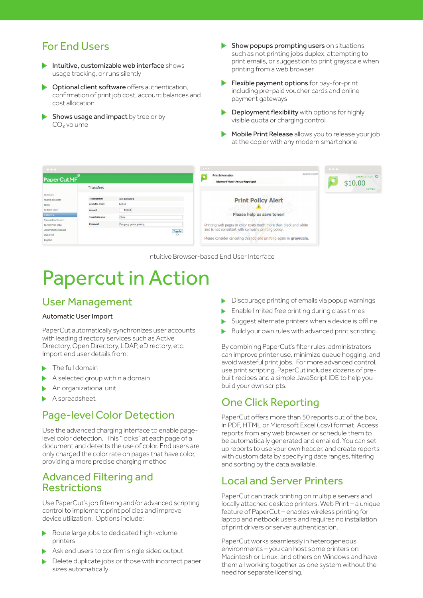## For End Users

- Intuitive, customizable web interface shows usage tracking, or runs silently
- $\triangleright$  Optional client software offers authentication, confirmation of print job cost, account balances and cost allocation
- Shows usage and impact by tree or by CO<sub>2</sub> volume
- $\blacktriangleright$  Show popups prompting users on situations such as not printing jobs duplex, attempting to print emails, or suggestion to print grayscale when printing from a web browser
- Flexible payment options for pay-for-print including pre-paid voucher cards and online payment gateways
- Deployment flexibility with options for highly ь visible quota or charging control
- Mobile Print Release allows you to release your job  $\blacktriangleright$ at the copier with any modern smartphone



Intuitive Browser-based End User Interface

## Papercut in Action

## User Management

## Automatic User Import

PaperCut automatically synchronizes user accounts with leading directory services such as Active Directory, Open Directory, LDAP, eDirectory, etc. Import end user details from:

- The full domain
- A selected group within a domain Ь
- An organizational unit
- A spreadsheet

## Page-level Color Detection

Use the advanced charging interface to enable pagelevel color detection. This "looks" at each page of a document and detects the use of color. End users are only charged the color rate on pages that have color, providing a more precise charging method

## Advanced Filtering and Restrictions

Use PaperCut's job filtering and/or advanced scripting control to implement print policies and improve device utilization. Options include:

- Route large jobs to dedicated high-volume printers
- Ask end users to confirm single sided output
- ь Delete duplicate jobs or those with incorrect paper sizes automatically
- Discourage printing of emails via popup warnings
- Enable limited free printing during class times
- Suggest alternate printers when a device is offline
- Build your own rules with advanced print scripting. Þ

By combining PaperCut's filter rules, administrators can improve printer use, minimize queue hogging, and avoid wasteful print jobs. For more advanced control, use print scripting. PaperCut includes dozens of prebuilt recipes and a simple JavaScript IDE to help you build your own scripts.

## One Click Reporting

PaperCut offers more than 50 reports out of the box, in PDF, HTML or Microsoft Excel (.csv) format. Access reports from any web browser, or schedule them to be automatically generated and emailed. You can set up reports to use your own header, and create reports with custom data by specifying date ranges, filtering and sorting by the data available.

## Local and Server Printers

PaperCut can track printing on multiple servers and locally attached desktop printers. Web Print – a unique feature of PaperCut – enables wireless printing for laptop and netbook users and requires no installation of print drivers or server authentication.

PaperCut works seamlessly in heterogeneous environments – you can host some printers on Macintosh or Linux, and others on Windows and have them all working together as one system without the need for separate licensing.